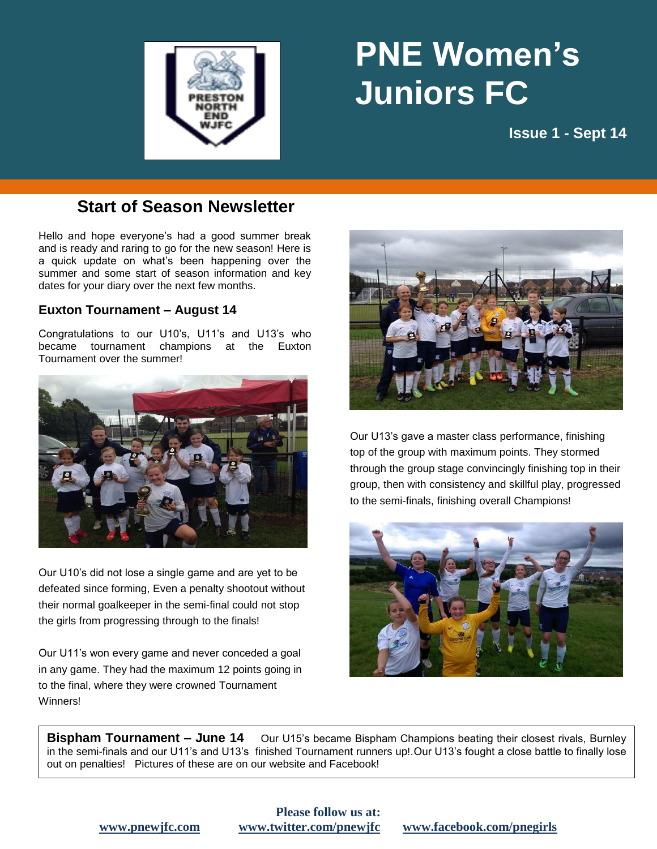

# **PNE Women's Juniors FC**

**fruit"**

**natural food is Issue 1 - Sept 14**

### **Start of Season Newsletter**

Hello and hope everyone's had a good summer break and is ready and raring to go for the new season! Here is a quick update on what's been happening over the summer and some start of season information and key dates for your diary over the next few months.

#### **Euxton Tournament – August 14**

Congratulations to our U10's, U11's and U13's who became tournament champions at the Euxton Tournament over the summer!



Our U10's did not lose a single game and are yet to be defeated since forming, Even a penalty shootout without their normal goalkeeper in the semi-final could not stop the girls from progressing through to the finals!

Our U11's won every game and never conceded a goal in any game. They had the maximum 12 points going in to the final, where they were crowned Tournament Winners!



Our U13's gave a master class performance, finishing top of the group with maximum points. They stormed through the group stage convincingly finishing top in their group, then with consistency and skillful play, progressed to the semi-finals, finishing overall Champions!



**Bispham Tournament – June 14** Our U15's became Bispham Champions beating their closest rivals, Burnley in the semi-finals and our U11's and U13's finished Tournament runners up!.Our U13's fought a close battle to finally lose out on penalties! Pictures of these are on our website and Facebook!

## **Please follow us at:**

#### **[www.pnewjfc.com](http://www.pnewjfc.com/) [www.twitter.com/pnewjfc](http://www.twitter.com/pnewjfc) [www.facebook.com/pnegirls](http://www.facebook.com/pnegirls)**